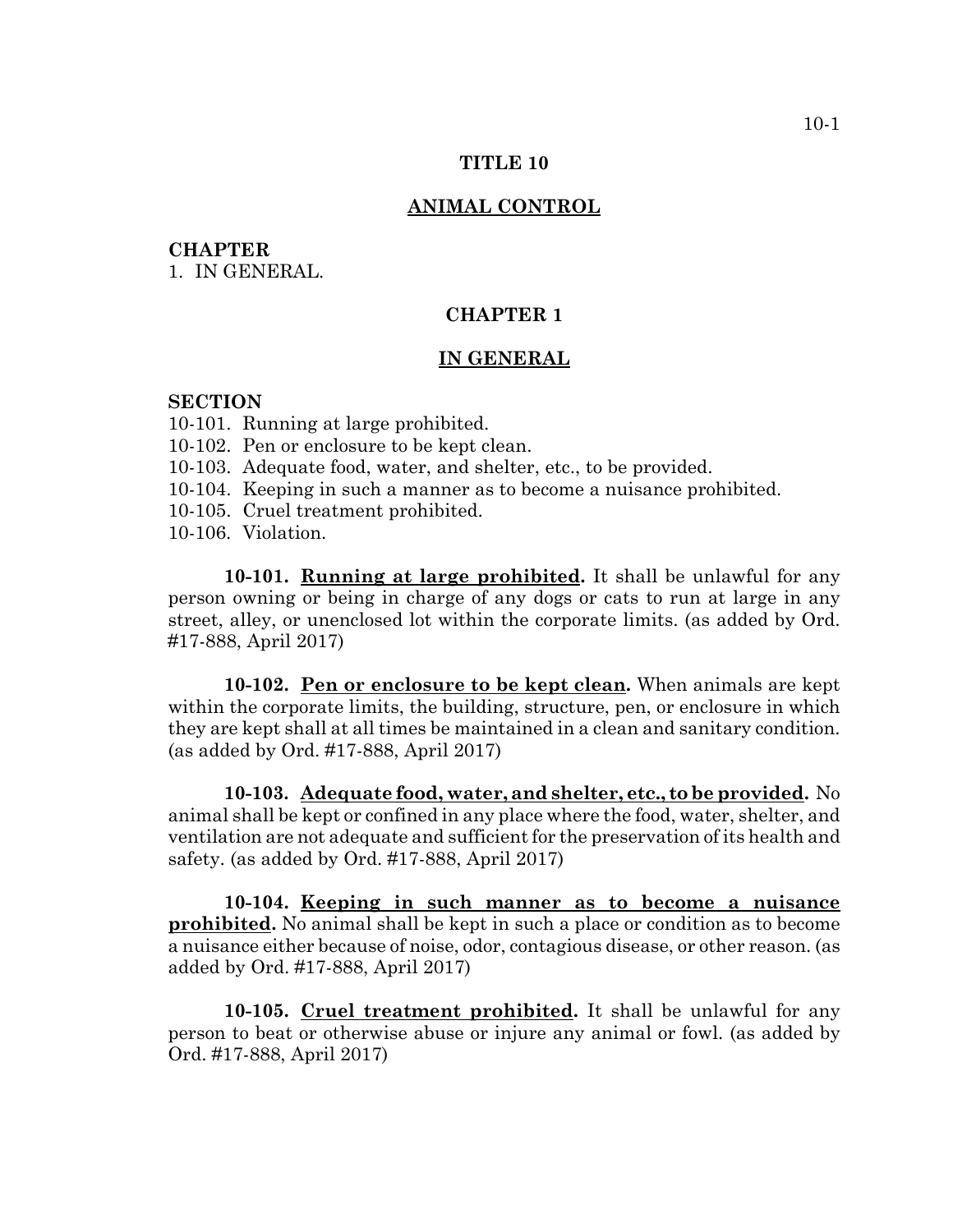## **TITLE 10**

### **ANIMAL CONTROL**

## **CHAPTER**

1. IN GENERAL.

# **CHAPTER 1**

### **IN GENERAL**

## **SECTION**

- 10-101. Running at large prohibited.
- 10-102. Pen or enclosure to be kept clean.
- 10-103. Adequate food, water, and shelter, etc., to be provided.
- 10-104. Keeping in such a manner as to become a nuisance prohibited.
- 10-105. Cruel treatment prohibited.
- 10-106. Violation.

**10-101. Running at large prohibited.** It shall be unlawful for any person owning or being in charge of any dogs or cats to run at large in any street, alley, or unenclosed lot within the corporate limits. (as added by Ord. #17-888, April 2017)

**10-102. Pen or enclosure to be kept clean.** When animals are kept within the corporate limits, the building, structure, pen, or enclosure in which they are kept shall at all times be maintained in a clean and sanitary condition. (as added by Ord. #17-888, April 2017)

**10-103. Adequate food, water, and shelter, etc., to be provided.** No animal shall be kept or confined in any place where the food, water, shelter, and ventilation are not adequate and sufficient for the preservation of its health and safety. (as added by Ord. #17-888, April 2017)

**10-104. Keeping in such manner as to become a nuisance prohibited.** No animal shall be kept in such a place or condition as to become a nuisance either because of noise, odor, contagious disease, or other reason. (as added by Ord. #17-888, April 2017)

**10-105. Cruel treatment prohibited.** It shall be unlawful for any person to beat or otherwise abuse or injure any animal or fowl. (as added by Ord. #17-888, April 2017)